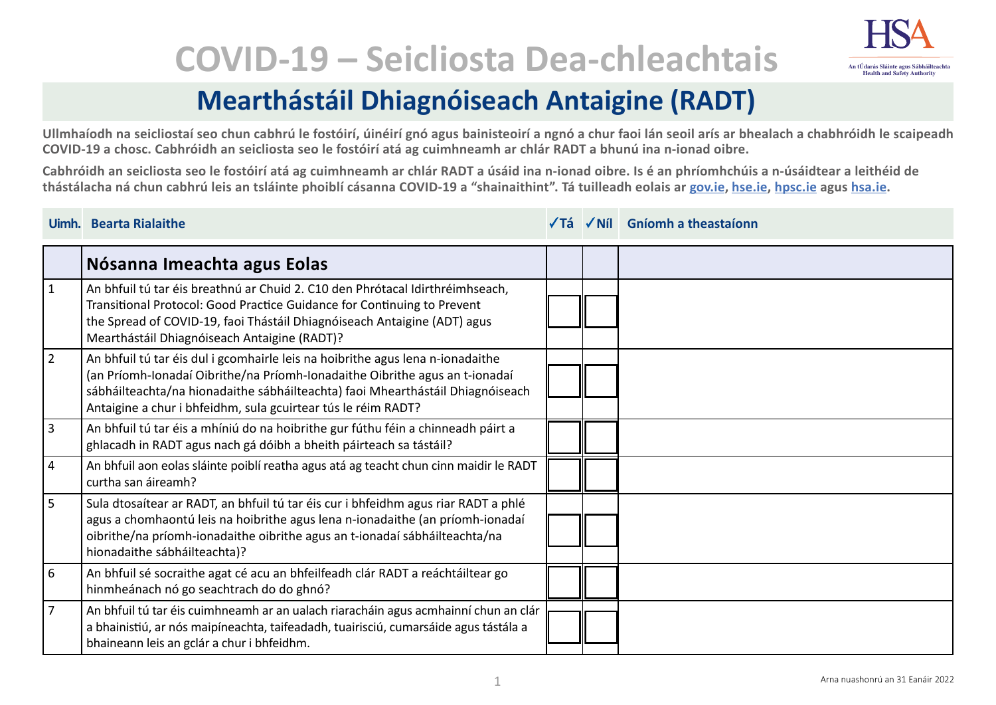## **COVID-19 – Seicliosta Dea-chleachtais**



**Ullmhaíodh na seicliostaí seo chun cabhrú le fostóirí, úinéirí gnó agus bainisteoirí a ngnó a chur faoi lán seoil arís ar bhealach a chabhróidh le scaipeadh COVID-19 a chosc. Cabhróidh an seicliosta seo le fostóirí atá ag cuimhneamh ar chlár RADT a bhunú ina n-ionad oibre.**

**Cabhróidh an seicliosta seo le fostóirí atá ag cuimhneamh ar chlár RADT a úsáid ina n-ionad oibre. Is é an phríomhchúis a n-úsáidtear a leithéid de thástálacha ná chun cabhrú leis an tsláinte phoiblí cásanna COVID-19 a "shainaithint". Tá tuilleadh eolais ar [gov.ie,](https://www.gov.ie/en/campaigns/c36c85-covid-19-coronavirus/) [hse.ie,](https://www.hse.ie/eng/) [hpsc.ie](https://www.hpsc.ie) agus [hsa.ie.](https://www.hsa.ie/eng/)**

|                 | Uimh. Bearta Rialaithe                                                                                                                                                                                                                                                                                           |  | √Tá √Níl Gníomh a theastaíonn |
|-----------------|------------------------------------------------------------------------------------------------------------------------------------------------------------------------------------------------------------------------------------------------------------------------------------------------------------------|--|-------------------------------|
|                 | Nósanna Imeachta agus Eolas                                                                                                                                                                                                                                                                                      |  |                               |
| $\vert$ 1       | An bhfuil tú tar éis breathnú ar Chuid 2. C10 den Phrótacal Idirthréimhseach,<br>Transitional Protocol: Good Practice Guidance for Continuing to Prevent<br>the Spread of COVID-19, faoi Thástáil Dhiagnóiseach Antaigine (ADT) agus<br>Mearthástáil Dhiagnóiseach Antaigine (RADT)?                             |  |                               |
| $\vert$ 2       | An bhfuil tú tar éis dul i gcomhairle leis na hoibrithe agus lena n-ionadaithe<br>(an Príomh-Ionadaí Oibrithe/na Príomh-Ionadaithe Oibrithe agus an t-ionadaí<br>sábháilteachta/na hionadaithe sábháilteachta) faoi Mhearthástáil Dhiagnóiseach<br>Antaigine a chur i bhfeidhm, sula gcuirtear tús le réim RADT? |  |                               |
| $ 3\rangle$     | An bhfuil tú tar éis a mhíniú do na hoibrithe gur fúthu féin a chinneadh páirt a<br>ghlacadh in RADT agus nach gá dóibh a bheith páirteach sa tástáil?                                                                                                                                                           |  |                               |
| $\vert 4 \vert$ | An bhfuil aon eolas sláinte poiblí reatha agus atá ag teacht chun cinn maidir le RADT<br>curtha san áireamh?                                                                                                                                                                                                     |  |                               |
| 5               | Sula dtosaítear ar RADT, an bhfuil tú tar éis cur i bhfeidhm agus riar RADT a phlé<br>agus a chomhaontú leis na hoibrithe agus lena n-ionadaithe (an príomh-ionadaí<br>oibrithe/na príomh-ionadaithe oibrithe agus an t-ionadaí sábháilteachta/na<br>hionadaithe sábháilteachta)?                                |  |                               |
| $\overline{6}$  | An bhfuil sé socraithe agat cé acu an bhfeilfeadh clár RADT a reáchtáiltear go<br>hinmheánach nó go seachtrach do do ghnó?                                                                                                                                                                                       |  |                               |
| $ 7\rangle$     | An bhfuil tú tar éis cuimhneamh ar an ualach riaracháin agus acmhainní chun an clár<br>a bhainistiú, ar nós maipíneachta, taifeadadh, tuairisciú, cumarsáide agus tástála a<br>bhaineann leis an gclár a chur i bhfeidhm.                                                                                        |  |                               |

**An tÚdarás Sláinte agus Sábháilteachta Health and Safety Authority**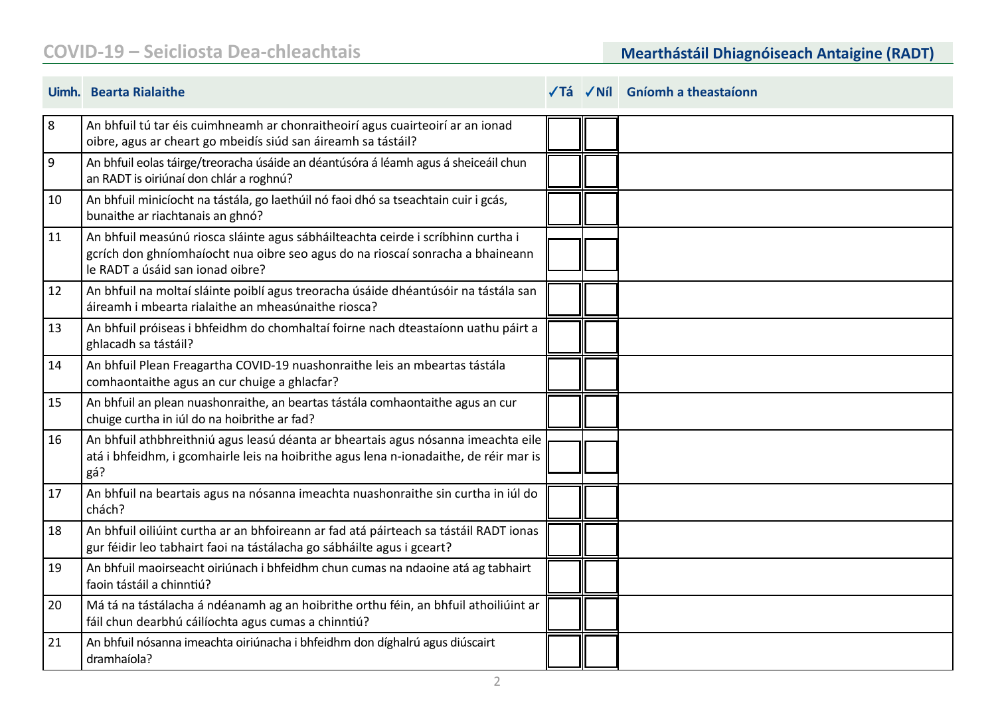## **COVID-19 – Seicliosta Dea-chleachtais Mearthástáil Dhiagnóiseach Antaigine (RADT)**

|                  | Uimh. Bearta Rialaithe                                                                                                                                                                                 |  | $\sqrt{7}$ á $\sqrt{N}$ il Gníomh a theastaíonn |
|------------------|--------------------------------------------------------------------------------------------------------------------------------------------------------------------------------------------------------|--|-------------------------------------------------|
| 8                | An bhfuil tú tar éis cuimhneamh ar chonraitheoirí agus cuairteoirí ar an ionad<br>oibre, agus ar cheart go mbeidís siúd san áireamh sa tástáil?                                                        |  |                                                 |
| $\boldsymbol{9}$ | An bhfuil eolas táirge/treoracha úsáide an déantúsóra á léamh agus á sheiceáil chun<br>an RADT is oiriúnaí don chlár a roghnú?                                                                         |  |                                                 |
| 10               | An bhfuil minicíocht na tástála, go laethúil nó faoi dhó sa tseachtain cuir i gcás,<br>bunaithe ar riachtanais an ghnó?                                                                                |  |                                                 |
| 11               | An bhfuil measúnú riosca sláinte agus sábháilteachta ceirde i scríbhinn curtha i<br>gcrích don ghníomhaíocht nua oibre seo agus do na rioscaí sonracha a bhaineann<br>le RADT a úsáid san ionad oibre? |  |                                                 |
| 12               | An bhfuil na moltaí sláinte poiblí agus treoracha úsáide dhéantúsóir na tástála san<br>áireamh i mbearta rialaithe an mheasúnaithe riosca?                                                             |  |                                                 |
| 13               | An bhfuil próiseas i bhfeidhm do chomhaltaí foirne nach dteastaíonn uathu páirt a<br>ghlacadh sa tástáil?                                                                                              |  |                                                 |
| 14               | An bhfuil Plean Freagartha COVID-19 nuashonraithe leis an mbeartas tástála<br>comhaontaithe agus an cur chuige a ghlacfar?                                                                             |  |                                                 |
| 15               | An bhfuil an plean nuashonraithe, an beartas tástála comhaontaithe agus an cur<br>chuige curtha in iúl do na hoibrithe ar fad?                                                                         |  |                                                 |
| 16               | An bhfuil athbhreithniú agus leasú déanta ar bheartais agus nósanna imeachta eile<br>atá i bhfeidhm, i gcomhairle leis na hoibrithe agus lena n-ionadaithe, de réir mar is<br>gá?                      |  |                                                 |
| 17               | An bhfuil na beartais agus na nósanna imeachta nuashonraithe sin curtha in iúl do<br>chách?                                                                                                            |  |                                                 |
| 18               | An bhfuil oiliúint curtha ar an bhfoireann ar fad atá páirteach sa tástáil RADT ionas<br>gur féidir leo tabhairt faoi na tástálacha go sábháilte agus i gceart?                                        |  |                                                 |
| 19               | An bhfuil maoirseacht oiriúnach i bhfeidhm chun cumas na ndaoine atá ag tabhairt<br>faoin tástáil a chinntiú?                                                                                          |  |                                                 |
| 20               | Má tá na tástálacha á ndéanamh ag an hoibrithe orthu féin, an bhfuil athoiliúint ar<br>fáil chun dearbhú cáilíochta agus cumas a chinntiú?                                                             |  |                                                 |
| 21               | An bhfuil nósanna imeachta oiriúnacha i bhfeidhm don díghalrú agus diúscairt<br>dramhaíola?                                                                                                            |  |                                                 |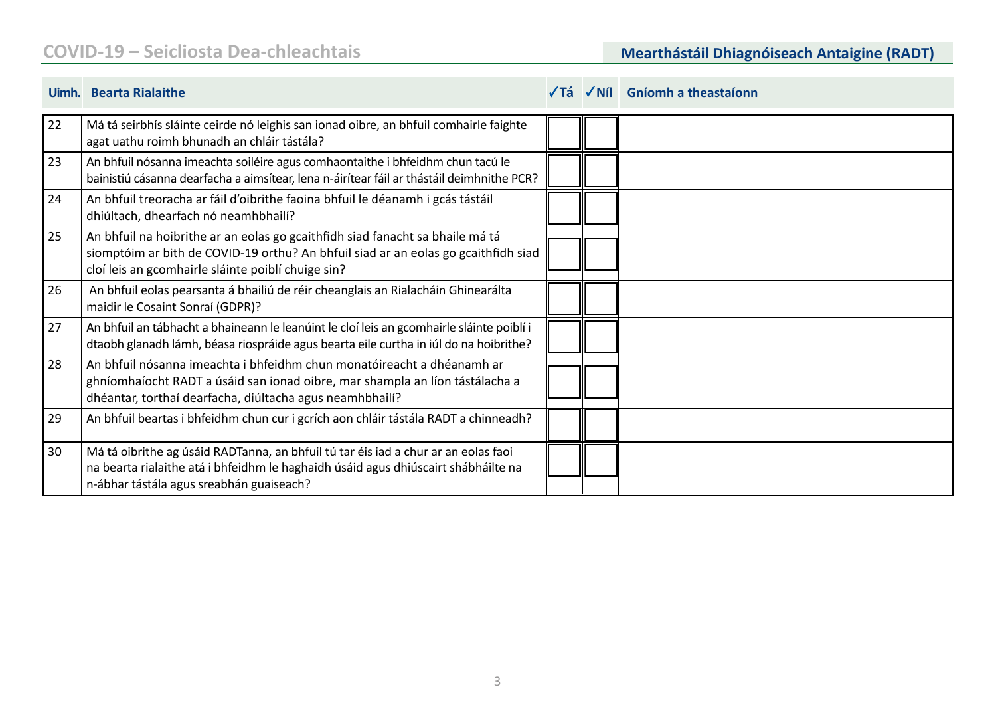|    | Uimh. Bearta Rialaithe                                                                                                                                                                                                    |  | √Tá √Níl Gníomh a theastaíonn |
|----|---------------------------------------------------------------------------------------------------------------------------------------------------------------------------------------------------------------------------|--|-------------------------------|
| 22 | Má tá seirbhís sláinte ceirde nó leighis san ionad oibre, an bhfuil comhairle faighte<br>agat uathu roimh bhunadh an chláir tástála?                                                                                      |  |                               |
| 23 | An bhfuil nósanna imeachta soiléire agus comhaontaithe i bhfeidhm chun tacú le<br>bainistiú cásanna dearfacha a aimsítear, lena n-áirítear fáil ar thástáil deimhnithe PCR?                                               |  |                               |
| 24 | An bhfuil treoracha ar fáil d'oibrithe faoina bhfuil le déanamh i gcás tástáil<br>dhiúltach, dhearfach nó neamhbhailí?                                                                                                    |  |                               |
| 25 | An bhfuil na hoibrithe ar an eolas go gcaithfidh siad fanacht sa bhaile má tá<br>siomptóim ar bith de COVID-19 orthu? An bhfuil siad ar an eolas go gcaithfidh siad<br>cloí leis an gcomhairle sláinte poiblí chuige sin? |  |                               |
| 26 | An bhfuil eolas pearsanta á bhailiú de réir cheanglais an Rialacháin Ghinearálta<br>maidir le Cosaint Sonraí (GDPR)?                                                                                                      |  |                               |
| 27 | An bhfuil an tábhacht a bhaineann le leanúint le cloí leis an gcomhairle sláinte poiblí i<br>dtaobh glanadh lámh, béasa riospráide agus bearta eile curtha in iúl do na hoibrithe?                                        |  |                               |
| 28 | An bhfuil nósanna imeachta i bhfeidhm chun monatóireacht a dhéanamh ar<br>ghníomhaíocht RADT a úsáid san ionad oibre, mar shampla an líon tástálacha a<br>dhéantar, torthaí dearfacha, diúltacha agus neamhbhailí?        |  |                               |
| 29 | An bhfuil beartas i bhfeidhm chun cur i gcrích aon chláir tástála RADT a chinneadh?                                                                                                                                       |  |                               |
| 30 | Má tá oibrithe ag úsáid RADTanna, an bhfuil tú tar éis iad a chur ar an eolas faoi<br>na bearta rialaithe atá i bhfeidhm le haghaidh úsáid agus dhiúscairt shábháilte na<br>n-ábhar tástála agus sreabhán guaiseach?      |  |                               |